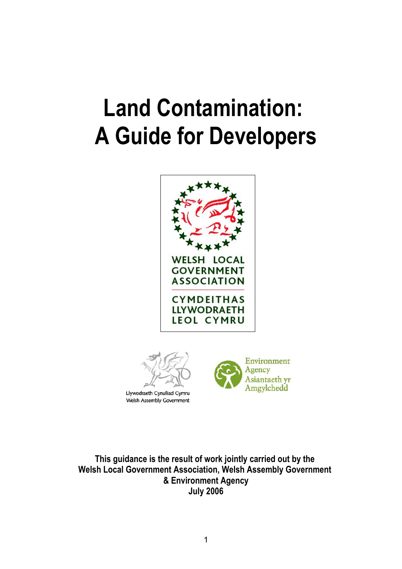# **Land Contamination: A Guide for Developers**





**Welsh Assembly Government** 



**This guidance is the result of work jointly carried out by the Welsh Local Government Association, Welsh Assembly Government & Environment Agency July 2006**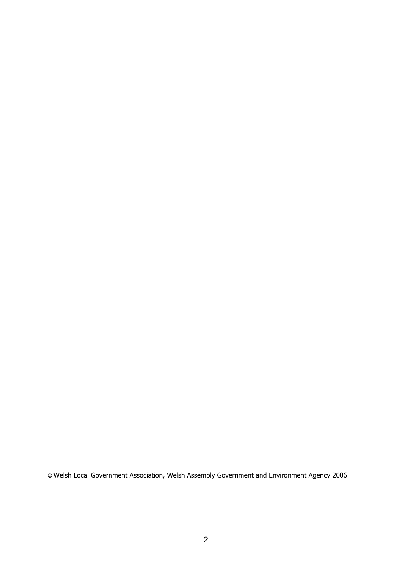**©** Welsh Local Government Association, Welsh Assembly Government and Environment Agency 2006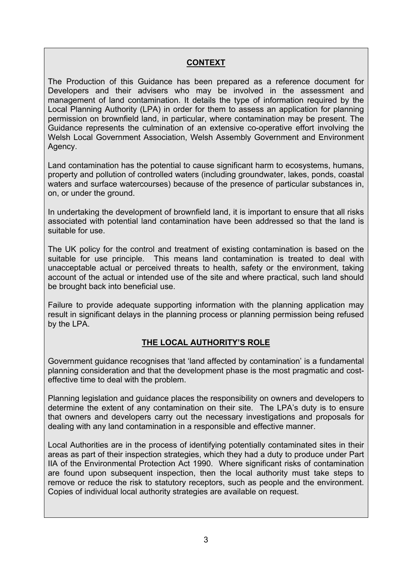#### **CONTEXT**

The Production of this Guidance has been prepared as a reference document for Developers and their advisers who may be involved in the assessment and management of land contamination. It details the type of information required by the Local Planning Authority (LPA) in order for them to assess an application for planning permission on brownfield land, in particular, where contamination may be present. The Guidance represents the culmination of an extensive co-operative effort involving the Welsh Local Government Association, Welsh Assembly Government and Environment Agency.

Land contamination has the potential to cause significant harm to ecosystems, humans, property and pollution of controlled waters (including groundwater, lakes, ponds, coastal waters and surface watercourses) because of the presence of particular substances in, on, or under the ground.

In undertaking the development of brownfield land, it is important to ensure that all risks associated with potential land contamination have been addressed so that the land is suitable for use.

The UK policy for the control and treatment of existing contamination is based on the suitable for use principle. This means land contamination is treated to deal with unacceptable actual or perceived threats to health, safety or the environment, taking account of the actual or intended use of the site and where practical, such land should be brought back into beneficial use.

Failure to provide adequate supporting information with the planning application may result in significant delays in the planning process or planning permission being refused by the LPA.

#### **THE LOCAL AUTHORITY'S ROLE**

Government guidance recognises that 'land affected by contamination' is a fundamental planning consideration and that the development phase is the most pragmatic and costeffective time to deal with the problem.

Planning legislation and guidance places the responsibility on owners and developers to determine the extent of any contamination on their site. The LPA's duty is to ensure that owners and developers carry out the necessary investigations and proposals for dealing with any land contamination in a responsible and effective manner.

Local Authorities are in the process of identifying potentially contaminated sites in their areas as part of their inspection strategies, which they had a duty to produce under Part IIA of the Environmental Protection Act 1990. Where significant risks of contamination are found upon subsequent inspection, then the local authority must take steps to remove or reduce the risk to statutory receptors, such as people and the environment. Copies of individual local authority strategies are available on request.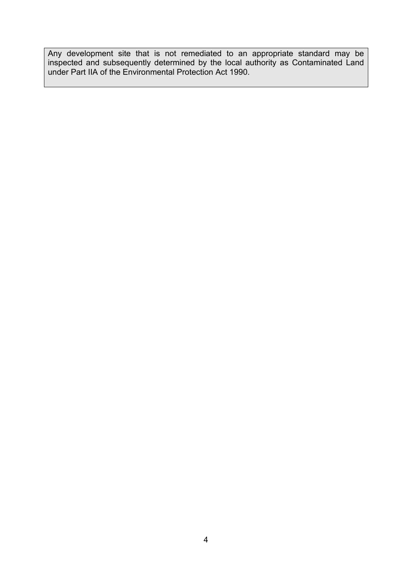Any development site that is not remediated to an appropriate standard may be inspected and subsequently determined by the local authority as Contaminated Land under Part IIA of the Environmental Protection Act 1990.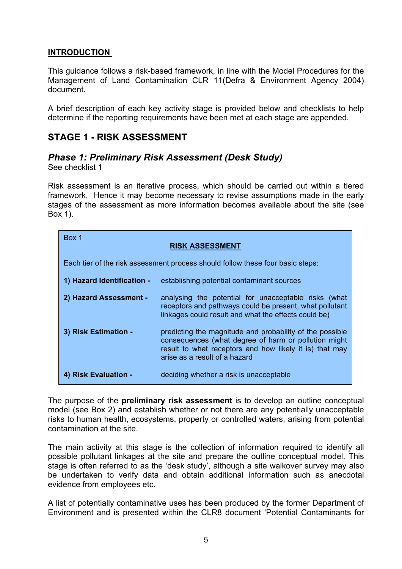#### **INTRODUCTION**

This guidance follows a risk-based framework, in line with the Model Procedures for the Management of Land Contamination CLR 11(Defra & Environment Agency 2004) document.

A brief description of each key activity stage is provided below and checklists to help determine if the reporting requirements have been met at each stage are appended.

## **STAGE 1 - RISK ASSESSMENT**

## *Phase 1: Preliminary Risk Assessment (Desk Study)*

See checklist 1

Risk assessment is an iterative process, which should be carried out within a tiered framework. Hence it may become necessary to revise assumptions made in the early stages of the assessment as more information becomes available about the site (see Box 1).

| Box 1<br><b>RISK ASSESSMENT</b>                                                |                                                                                                                                                                                                              |  |  |
|--------------------------------------------------------------------------------|--------------------------------------------------------------------------------------------------------------------------------------------------------------------------------------------------------------|--|--|
| Each tier of the risk assessment process should follow these four basic steps: |                                                                                                                                                                                                              |  |  |
| 1) Hazard Identification -                                                     | establishing potential contaminant sources                                                                                                                                                                   |  |  |
| 2) Hazard Assessment -                                                         | analysing the potential for unacceptable risks (what<br>receptors and pathways could be present, what pollutant<br>linkages could result and what the effects could be)                                      |  |  |
| 3) Risk Estimation -                                                           | predicting the magnitude and probability of the possible<br>consequences (what degree of harm or pollution might<br>result to what receptors and how likely it is) that may<br>arise as a result of a hazard |  |  |
| 4) Risk Evaluation -                                                           | deciding whether a risk is unacceptable                                                                                                                                                                      |  |  |

The purpose of the **preliminary risk assessment** is to develop an outline conceptual model (see Box 2) and establish whether or not there are any potentially unacceptable risks to human health, ecosystems, property or controlled waters, arising from potential contamination at the site.

The main activity at this stage is the collection of information required to identify all possible pollutant linkages at the site and prepare the outline conceptual model. This stage is often referred to as the 'desk study', although a site walkover survey may also be undertaken to verify data and obtain additional information such as anecdotal evidence from employees etc.

A list of potentially contaminative uses has been produced by the former Department of Environment and is presented within the CLR8 document 'Potential Contaminants for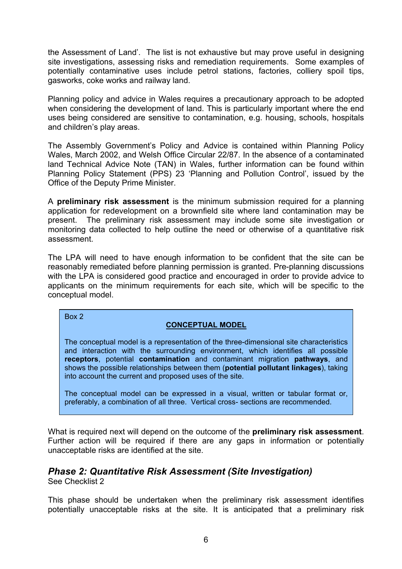the Assessment of Land'. The list is not exhaustive but may prove useful in designing site investigations, assessing risks and remediation requirements. Some examples of potentially contaminative uses include petrol stations, factories, colliery spoil tips, gasworks, coke works and railway land.

Planning policy and advice in Wales requires a precautionary approach to be adopted when considering the development of land. This is particularly important where the end uses being considered are sensitive to contamination, e.g. housing, schools, hospitals and children's play areas.

The Assembly Government's Policy and Advice is contained within Planning Policy Wales, March 2002, and Welsh Office Circular 22/87. In the absence of a contaminated land Technical Advice Note (TAN) in Wales, further information can be found within Planning Policy Statement (PPS) 23 'Planning and Pollution Control', issued by the Office of the Deputy Prime Minister.

A **preliminary risk assessment** is the minimum submission required for a planning application for redevelopment on a brownfield site where land contamination may be present. The preliminary risk assessment may include some site investigation or monitoring data collected to help outline the need or otherwise of a quantitative risk assessment.

The LPA will need to have enough information to be confident that the site can be reasonably remediated before planning permission is granted. Pre-planning discussions with the LPA is considered good practice and encouraged in order to provide advice to applicants on the minimum requirements for each site, which will be specific to the conceptual model.

Box 2

#### **CONCEPTUAL MODEL**

The conceptual model is a representation of the three-dimensional site characteristics and interaction with the surrounding environment, which identifies all possible **receptors**, potential **contamination** and contaminant migration **pathways**, and shows the possible relationships between them (**potential pollutant linkages**), taking into account the current and proposed uses of the site.

The conceptual model can be expressed in a visual, written or tabular format or, preferably, a combination of all three. Vertical cross- sections are recommended.

What is required next will depend on the outcome of the **preliminary risk assessment**. Further action will be required if there are any gaps in information or potentially unacceptable risks are identified at the site.

#### *Phase 2: Quantitative Risk Assessment (Site Investigation)* See Checklist 2

This phase should be undertaken when the preliminary risk assessment identifies potentially unacceptable risks at the site. It is anticipated that a preliminary risk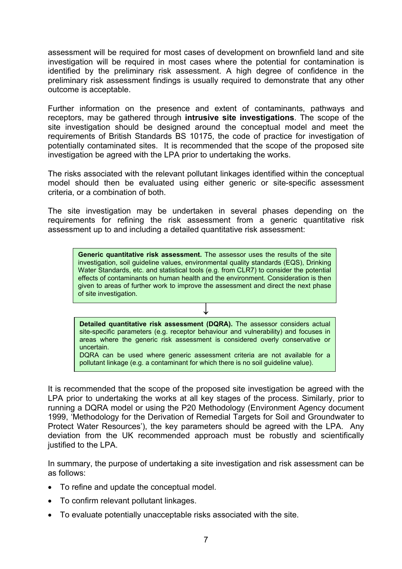assessment will be required for most cases of development on brownfield land and site investigation will be required in most cases where the potential for contamination is identified by the preliminary risk assessment. A high degree of confidence in the preliminary risk assessment findings is usually required to demonstrate that any other outcome is acceptable.

Further information on the presence and extent of contaminants, pathways and receptors, may be gathered through **intrusive site investigations**. The scope of the site investigation should be designed around the conceptual model and meet the requirements of British Standards BS 10175, the code of practice for investigation of potentially contaminated sites. It is recommended that the scope of the proposed site investigation be agreed with the LPA prior to undertaking the works.

The risks associated with the relevant pollutant linkages identified within the conceptual model should then be evaluated using either generic or site-specific assessment criteria, or a combination of both.

The site investigation may be undertaken in several phases depending on the requirements for refining the risk assessment from a generic quantitative risk assessment up to and including a detailed quantitative risk assessment:

**Generic quantitative risk assessment.** The assessor uses the results of the site investigation, soil guideline values, environmental quality standards (EQS), Drinking Water Standards, etc. and statistical tools (e.g. from CLR7) to consider the potential effects of contaminants on human health and the environment. Consideration is then given to areas of further work to improve the assessment and direct the next phase of site investigation.

**Detailed quantitative risk assessment (DQRA).** The assessor considers actual site-specific parameters (e.g. receptor behaviour and vulnerability) and focuses in areas where the generic risk assessment is considered overly conservative or uncertain.

**↓**

DQRA can be used where generic assessment criteria are not available for a pollutant linkage (e.g. a contaminant for which there is no soil guideline value).

It is recommended that the scope of the proposed site investigation be agreed with the LPA prior to undertaking the works at all key stages of the process. Similarly, prior to running a DQRA model or using the P20 Methodology (Environment Agency document 1999, 'Methodology for the Derivation of Remedial Targets for Soil and Groundwater to Protect Water Resources'), the key parameters should be agreed with the LPA. Any deviation from the UK recommended approach must be robustly and scientifically justified to the LPA.

In summary, the purpose of undertaking a site investigation and risk assessment can be as follows:

- To refine and update the conceptual model.
- To confirm relevant pollutant linkages.
- To evaluate potentially unacceptable risks associated with the site.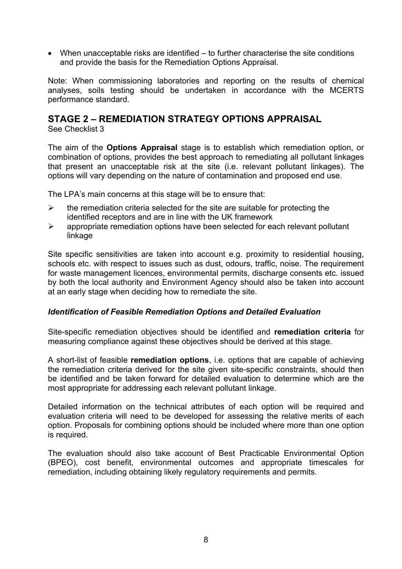• When unacceptable risks are identified – to further characterise the site conditions and provide the basis for the Remediation Options Appraisal.

Note: When commissioning laboratories and reporting on the results of chemical analyses, soils testing should be undertaken in accordance with the MCERTS performance standard.

## **STAGE 2 – REMEDIATION STRATEGY OPTIONS APPRAISAL**

See Checklist 3

The aim of the **Options Appraisal** stage is to establish which remediation option, or combination of options, provides the best approach to remediating all pollutant linkages that present an unacceptable risk at the site (i.e. relevant pollutant linkages). The options will vary depending on the nature of contamination and proposed end use.

The LPA's main concerns at this stage will be to ensure that:

- $\triangleright$  the remediation criteria selected for the site are suitable for protecting the identified receptors and are in line with the UK framework
- $\triangleright$  appropriate remediation options have been selected for each relevant pollutant linkage

Site specific sensitivities are taken into account e.g. proximity to residential housing, schools etc. with respect to issues such as dust, odours, traffic, noise. The requirement for waste management licences, environmental permits, discharge consents etc. issued by both the local authority and Environment Agency should also be taken into account at an early stage when deciding how to remediate the site.

#### *Identification of Feasible Remediation Options and Detailed Evaluation*

Site-specific remediation objectives should be identified and **remediation criteria** for measuring compliance against these objectives should be derived at this stage.

A short-list of feasible **remediation options**, i.e. options that are capable of achieving the remediation criteria derived for the site given site-specific constraints, should then be identified and be taken forward for detailed evaluation to determine which are the most appropriate for addressing each relevant pollutant linkage.

Detailed information on the technical attributes of each option will be required and evaluation criteria will need to be developed for assessing the relative merits of each option. Proposals for combining options should be included where more than one option is required.

The evaluation should also take account of Best Practicable Environmental Option (BPEO), cost benefit, environmental outcomes and appropriate timescales for remediation, including obtaining likely regulatory requirements and permits.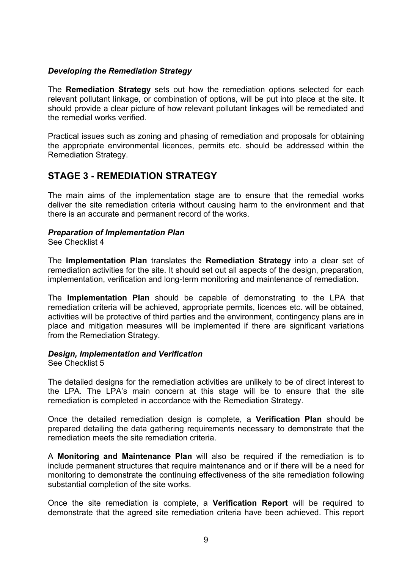#### *Developing the Remediation Strategy*

The **Remediation Strategy** sets out how the remediation options selected for each relevant pollutant linkage, or combination of options, will be put into place at the site. It should provide a clear picture of how relevant pollutant linkages will be remediated and the remedial works verified.

Practical issues such as zoning and phasing of remediation and proposals for obtaining the appropriate environmental licences, permits etc. should be addressed within the Remediation Strategy.

## **STAGE 3 - REMEDIATION STRATEGY**

The main aims of the implementation stage are to ensure that the remedial works deliver the site remediation criteria without causing harm to the environment and that there is an accurate and permanent record of the works.

#### *Preparation of Implementation Plan*

See Checklist 4

The **Implementation Plan** translates the **Remediation Strategy** into a clear set of remediation activities for the site. It should set out all aspects of the design, preparation, implementation, verification and long-term monitoring and maintenance of remediation.

The **Implementation Plan** should be capable of demonstrating to the LPA that remediation criteria will be achieved, appropriate permits, licences etc. will be obtained, activities will be protective of third parties and the environment, contingency plans are in place and mitigation measures will be implemented if there are significant variations from the Remediation Strategy.

#### *Design, Implementation and Verification*

See Checklist 5

The detailed designs for the remediation activities are unlikely to be of direct interest to the LPA. The LPA's main concern at this stage will be to ensure that the site remediation is completed in accordance with the Remediation Strategy.

Once the detailed remediation design is complete, a **Verification Plan** should be prepared detailing the data gathering requirements necessary to demonstrate that the remediation meets the site remediation criteria.

A **Monitoring and Maintenance Plan** will also be required if the remediation is to include permanent structures that require maintenance and or if there will be a need for monitoring to demonstrate the continuing effectiveness of the site remediation following substantial completion of the site works.

Once the site remediation is complete, a **Verification Report** will be required to demonstrate that the agreed site remediation criteria have been achieved. This report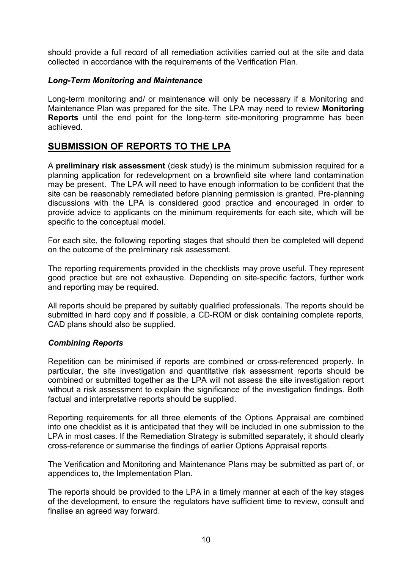should provide a full record of all remediation activities carried out at the site and data collected in accordance with the requirements of the Verification Plan.

#### *Long-Term Monitoring and Maintenance*

Long-term monitoring and/ or maintenance will only be necessary if a Monitoring and Maintenance Plan was prepared for the site. The LPA may need to review **Monitoring Reports** until the end point for the long-term site-monitoring programme has been achieved.

## **SUBMISSION OF REPORTS TO THE LPA**

A **preliminary risk assessment** (desk study) is the minimum submission required for a planning application for redevelopment on a brownfield site where land contamination may be present. The LPA will need to have enough information to be confident that the site can be reasonably remediated before planning permission is granted. Pre-planning discussions with the LPA is considered good practice and encouraged in order to provide advice to applicants on the minimum requirements for each site, which will be specific to the conceptual model.

For each site, the following reporting stages that should then be completed will depend on the outcome of the preliminary risk assessment.

The reporting requirements provided in the checklists may prove useful. They represent good practice but are not exhaustive. Depending on site-specific factors, further work and reporting may be required.

All reports should be prepared by suitably qualified professionals. The reports should be submitted in hard copy and if possible, a CD-ROM or disk containing complete reports, CAD plans should also be supplied.

#### *Combining Reports*

Repetition can be minimised if reports are combined or cross-referenced properly. In particular, the site investigation and quantitative risk assessment reports should be combined or submitted together as the LPA will not assess the site investigation report without a risk assessment to explain the significance of the investigation findings. Both factual and interpretative reports should be supplied.

Reporting requirements for all three elements of the Options Appraisal are combined into one checklist as it is anticipated that they will be included in one submission to the LPA in most cases. If the Remediation Strategy is submitted separately, it should clearly cross-reference or summarise the findings of earlier Options Appraisal reports.

The Verification and Monitoring and Maintenance Plans may be submitted as part of, or appendices to, the Implementation Plan.

The reports should be provided to the LPA in a timely manner at each of the key stages of the development, to ensure the regulators have sufficient time to review, consult and finalise an agreed way forward.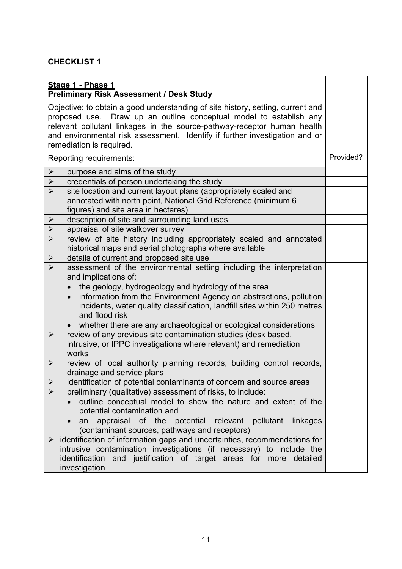| Stage 1 - Phase 1<br><b>Preliminary Risk Assessment / Desk Study</b>                                                                                                                                                                                                                                                                                      |           |
|-----------------------------------------------------------------------------------------------------------------------------------------------------------------------------------------------------------------------------------------------------------------------------------------------------------------------------------------------------------|-----------|
| Objective: to obtain a good understanding of site history, setting, current and<br>proposed use. Draw up an outline conceptual model to establish any<br>relevant pollutant linkages in the source-pathway-receptor human health<br>and environmental risk assessment. Identify if further investigation and or<br>remediation is required.               |           |
| Reporting requirements:                                                                                                                                                                                                                                                                                                                                   | Provided? |
| $\blacktriangleright$<br>purpose and aims of the study                                                                                                                                                                                                                                                                                                    |           |
| credentials of person undertaking the study<br>$\blacktriangleright$                                                                                                                                                                                                                                                                                      |           |
| $\blacktriangleright$<br>site location and current layout plans (appropriately scaled and<br>annotated with north point, National Grid Reference (minimum 6<br>figures) and site area in hectares)                                                                                                                                                        |           |
| description of site and surrounding land uses<br>$\blacktriangleright$                                                                                                                                                                                                                                                                                    |           |
| $\blacktriangleright$<br>appraisal of site walkover survey                                                                                                                                                                                                                                                                                                |           |
| $\blacktriangleright$<br>review of site history including appropriately scaled and annotated<br>historical maps and aerial photographs where available                                                                                                                                                                                                    |           |
| $\blacktriangleright$<br>details of current and proposed site use                                                                                                                                                                                                                                                                                         |           |
| assessment of the environmental setting including the interpretation<br>$\triangleright$<br>and implications of:<br>the geology, hydrogeology and hydrology of the area<br>information from the Environment Agency on abstractions, pollution<br>$\bullet$<br>incidents, water quality classification, landfill sites within 250 metres<br>and flood risk |           |
| whether there are any archaeological or ecological considerations<br>review of any previous site contamination studies (desk based,<br>$\blacktriangleright$<br>intrusive, or IPPC investigations where relevant) and remediation<br>works                                                                                                                |           |
| review of local authority planning records, building control records,<br>$\blacktriangleright$<br>drainage and service plans                                                                                                                                                                                                                              |           |
| identification of potential contaminants of concern and source areas<br>$\blacktriangleright$                                                                                                                                                                                                                                                             |           |
| $\blacktriangleright$<br>preliminary (qualitative) assessment of risks, to include:<br>outline conceptual model to show the nature and extent of the<br>potential contamination and<br>appraisal of the potential relevant pollutant<br>linkages<br>an<br>(contaminant sources, pathways and receptors)                                                   |           |
| $\triangleright$ identification of information gaps and uncertainties, recommendations for<br>intrusive contamination investigations (if necessary) to include the<br>identification and justification of target areas for more detailed<br>investigation                                                                                                 |           |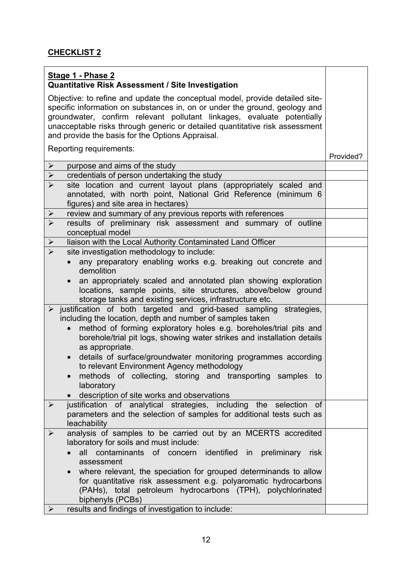| Stage 1 - Phase 2<br><b>Quantitative Risk Assessment / Site Investigation</b>                                                                                                                                                                                                                                                                                           |           |
|-------------------------------------------------------------------------------------------------------------------------------------------------------------------------------------------------------------------------------------------------------------------------------------------------------------------------------------------------------------------------|-----------|
| Objective: to refine and update the conceptual model, provide detailed site-<br>specific information on substances in, on or under the ground, geology and<br>groundwater, confirm relevant pollutant linkages, evaluate potentially<br>unacceptable risks through generic or detailed quantitative risk assessment<br>and provide the basis for the Options Appraisal. |           |
| Reporting requirements:                                                                                                                                                                                                                                                                                                                                                 | Provided? |
| $\blacktriangleright$<br>purpose and aims of the study                                                                                                                                                                                                                                                                                                                  |           |
| $\blacktriangleright$<br>credentials of person undertaking the study                                                                                                                                                                                                                                                                                                    |           |
| $\blacktriangleright$<br>site location and current layout plans (appropriately scaled and<br>annotated, with north point, National Grid Reference (minimum 6<br>figures) and site area in hectares)                                                                                                                                                                     |           |
| review and summary of any previous reports with references<br>$\blacktriangleright$                                                                                                                                                                                                                                                                                     |           |
| $\triangleright$<br>results of preliminary risk assessment and summary of outline<br>conceptual model                                                                                                                                                                                                                                                                   |           |
| $\blacktriangleright$<br>liaison with the Local Authority Contaminated Land Officer                                                                                                                                                                                                                                                                                     |           |
| $\blacktriangleright$<br>site investigation methodology to include:                                                                                                                                                                                                                                                                                                     |           |
| any preparatory enabling works e.g. breaking out concrete and<br>demolition                                                                                                                                                                                                                                                                                             |           |
| an appropriately scaled and annotated plan showing exploration<br>locations, sample points, site structures, above/below ground<br>storage tanks and existing services, infrastructure etc.                                                                                                                                                                             |           |
| $\triangleright$ justification of both targeted and grid-based sampling strategies,<br>including the location, depth and number of samples taken<br>method of forming exploratory holes e.g. boreholes/trial pits and<br>$\bullet$                                                                                                                                      |           |
| borehole/trial pit logs, showing water strikes and installation details<br>as appropriate.                                                                                                                                                                                                                                                                              |           |
| details of surface/groundwater monitoring programmes according<br>$\bullet$<br>to relevant Environment Agency methodology                                                                                                                                                                                                                                               |           |
| methods of collecting, storing and transporting samples to<br>laboratory                                                                                                                                                                                                                                                                                                |           |
| description of site works and observations                                                                                                                                                                                                                                                                                                                              |           |
| justification of analytical strategies, including the selection<br>$\blacktriangleright$<br>0f<br>parameters and the selection of samples for additional tests such as<br>leachability                                                                                                                                                                                  |           |
| analysis of samples to be carried out by an MCERTS accredited<br>$\blacktriangleright$                                                                                                                                                                                                                                                                                  |           |
| laboratory for soils and must include:                                                                                                                                                                                                                                                                                                                                  |           |
| all contaminants of concern identified in preliminary<br>risk<br>assessment                                                                                                                                                                                                                                                                                             |           |
| where relevant, the speciation for grouped determinands to allow<br>for quantitative risk assessment e.g. polyaromatic hydrocarbons                                                                                                                                                                                                                                     |           |
| (PAHs), total petroleum hydrocarbons (TPH), polychlorinated<br>biphenyls (PCBs)                                                                                                                                                                                                                                                                                         |           |
| results and findings of investigation to include:<br>$\blacktriangleright$                                                                                                                                                                                                                                                                                              |           |
|                                                                                                                                                                                                                                                                                                                                                                         |           |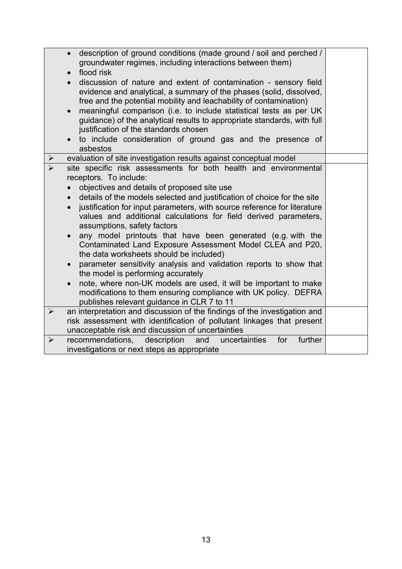|                       | description of ground conditions (made ground / soil and perched /<br>groundwater regimes, including interactions between them)<br>flood risk<br>discussion of nature and extent of contamination - sensory field<br>evidence and analytical, a summary of the phases (solid, dissolved,<br>free and the potential mobility and leachability of contamination)<br>meaningful comparison (i.e. to include statistical tests as per UK<br>guidance) of the analytical results to appropriate standards, with full<br>justification of the standards chosen<br>to include consideration of ground gas and the presence of<br>asbestos                                                                                                                                                                                                                                                                    |  |
|-----------------------|-------------------------------------------------------------------------------------------------------------------------------------------------------------------------------------------------------------------------------------------------------------------------------------------------------------------------------------------------------------------------------------------------------------------------------------------------------------------------------------------------------------------------------------------------------------------------------------------------------------------------------------------------------------------------------------------------------------------------------------------------------------------------------------------------------------------------------------------------------------------------------------------------------|--|
|                       | evaluation of site investigation results against conceptual model                                                                                                                                                                                                                                                                                                                                                                                                                                                                                                                                                                                                                                                                                                                                                                                                                                     |  |
|                       | site specific risk assessments for both health and environmental<br>receptors. To include:<br>objectives and details of proposed site use<br>details of the models selected and justification of choice for the site<br>$\bullet$<br>justification for input parameters, with source reference for literature<br>values and additional calculations for field derived parameters,<br>assumptions, safety factors<br>any model printouts that have been generated (e.g. with the<br>Contaminated Land Exposure Assessment Model CLEA and P20,<br>the data worksheets should be included)<br>parameter sensitivity analysis and validation reports to show that<br>the model is performing accurately<br>note, where non-UK models are used, it will be important to make<br>$\bullet$<br>modifications to them ensuring compliance with UK policy. DEFRA<br>publishes relevant guidance in CLR 7 to 11 |  |
| $\blacktriangleright$ | an interpretation and discussion of the findings of the investigation and<br>risk assessment with identification of pollutant linkages that present<br>unacceptable risk and discussion of uncertainties                                                                                                                                                                                                                                                                                                                                                                                                                                                                                                                                                                                                                                                                                              |  |
| $\blacktriangleright$ | recommendations, description<br>further<br>for<br>and<br>uncertainties<br>investigations or next steps as appropriate                                                                                                                                                                                                                                                                                                                                                                                                                                                                                                                                                                                                                                                                                                                                                                                 |  |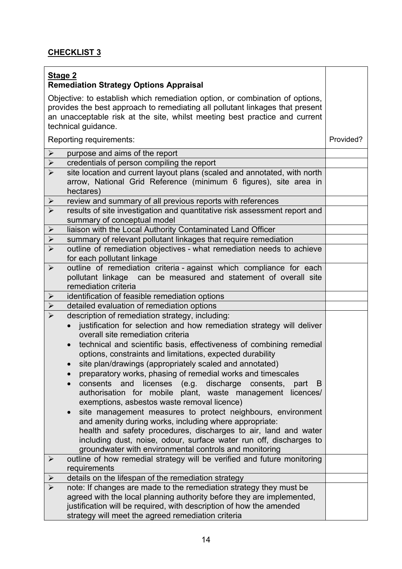| <b>Stage 2</b>                                                                                                                                                                                                                                                                                                                                                                                                                                                                                                                                                                                                                                                                                                                                                                                                                                                                                                                                                                                                                                                           |           |
|--------------------------------------------------------------------------------------------------------------------------------------------------------------------------------------------------------------------------------------------------------------------------------------------------------------------------------------------------------------------------------------------------------------------------------------------------------------------------------------------------------------------------------------------------------------------------------------------------------------------------------------------------------------------------------------------------------------------------------------------------------------------------------------------------------------------------------------------------------------------------------------------------------------------------------------------------------------------------------------------------------------------------------------------------------------------------|-----------|
| <b>Remediation Strategy Options Appraisal</b>                                                                                                                                                                                                                                                                                                                                                                                                                                                                                                                                                                                                                                                                                                                                                                                                                                                                                                                                                                                                                            |           |
| Objective: to establish which remediation option, or combination of options,<br>provides the best approach to remediating all pollutant linkages that present<br>an unacceptable risk at the site, whilst meeting best practice and current<br>technical guidance.                                                                                                                                                                                                                                                                                                                                                                                                                                                                                                                                                                                                                                                                                                                                                                                                       |           |
| Reporting requirements:                                                                                                                                                                                                                                                                                                                                                                                                                                                                                                                                                                                                                                                                                                                                                                                                                                                                                                                                                                                                                                                  | Provided? |
| purpose and aims of the report<br>$\blacktriangleright$                                                                                                                                                                                                                                                                                                                                                                                                                                                                                                                                                                                                                                                                                                                                                                                                                                                                                                                                                                                                                  |           |
| credentials of person compiling the report<br>$\blacktriangleright$                                                                                                                                                                                                                                                                                                                                                                                                                                                                                                                                                                                                                                                                                                                                                                                                                                                                                                                                                                                                      |           |
| $\blacktriangleright$<br>site location and current layout plans (scaled and annotated, with north<br>arrow, National Grid Reference (minimum 6 figures), site area in<br>hectares)                                                                                                                                                                                                                                                                                                                                                                                                                                                                                                                                                                                                                                                                                                                                                                                                                                                                                       |           |
| review and summary of all previous reports with references<br>$\sum_{i=1}^{n}$                                                                                                                                                                                                                                                                                                                                                                                                                                                                                                                                                                                                                                                                                                                                                                                                                                                                                                                                                                                           |           |
| $\blacktriangleright$<br>results of site investigation and quantitative risk assessment report and<br>summary of conceptual model                                                                                                                                                                                                                                                                                                                                                                                                                                                                                                                                                                                                                                                                                                                                                                                                                                                                                                                                        |           |
| $\blacktriangleright$<br>liaison with the Local Authority Contaminated Land Officer                                                                                                                                                                                                                                                                                                                                                                                                                                                                                                                                                                                                                                                                                                                                                                                                                                                                                                                                                                                      |           |
| $\blacktriangleright$<br>summary of relevant pollutant linkages that require remediation                                                                                                                                                                                                                                                                                                                                                                                                                                                                                                                                                                                                                                                                                                                                                                                                                                                                                                                                                                                 |           |
| $\blacktriangleright$<br>outline of remediation objectives - what remediation needs to achieve<br>for each pollutant linkage                                                                                                                                                                                                                                                                                                                                                                                                                                                                                                                                                                                                                                                                                                                                                                                                                                                                                                                                             |           |
| $\blacktriangleright$<br>outline of remediation criteria - against which compliance for each<br>pollutant linkage can be measured and statement of overall site<br>remediation criteria                                                                                                                                                                                                                                                                                                                                                                                                                                                                                                                                                                                                                                                                                                                                                                                                                                                                                  |           |
| identification of feasible remediation options<br>$\blacktriangleright$                                                                                                                                                                                                                                                                                                                                                                                                                                                                                                                                                                                                                                                                                                                                                                                                                                                                                                                                                                                                  |           |
| detailed evaluation of remediation options<br>$\blacktriangleright$                                                                                                                                                                                                                                                                                                                                                                                                                                                                                                                                                                                                                                                                                                                                                                                                                                                                                                                                                                                                      |           |
| description of remediation strategy, including:<br>justification for selection and how remediation strategy will deliver<br>overall site remediation criteria<br>technical and scientific basis, effectiveness of combining remedial<br>options, constraints and limitations, expected durability<br>site plan/drawings (appropriately scaled and annotated)<br>$\bullet$<br>preparatory works, phasing of remedial works and timescales<br>consents and<br>licenses (e.g. discharge<br>consents,<br>part<br>B<br>authorisation for mobile plant, waste management licences/<br>exemptions, asbestos waste removal licence)<br>site management measures to protect neighbours, environment<br>$\bullet$<br>and amenity during works, including where appropriate:<br>health and safety procedures, discharges to air, land and water<br>including dust, noise, odour, surface water run off, discharges to<br>groundwater with environmental controls and monitoring<br>outline of how remedial strategy will be verified and future monitoring<br>$\blacktriangleright$ |           |
| requirements                                                                                                                                                                                                                                                                                                                                                                                                                                                                                                                                                                                                                                                                                                                                                                                                                                                                                                                                                                                                                                                             |           |
| details on the lifespan of the remediation strategy<br>$\blacktriangleright$                                                                                                                                                                                                                                                                                                                                                                                                                                                                                                                                                                                                                                                                                                                                                                                                                                                                                                                                                                                             |           |
| note: If changes are made to the remediation strategy they must be<br>➤<br>agreed with the local planning authority before they are implemented,<br>justification will be required, with description of how the amended<br>strategy will meet the agreed remediation criteria                                                                                                                                                                                                                                                                                                                                                                                                                                                                                                                                                                                                                                                                                                                                                                                            |           |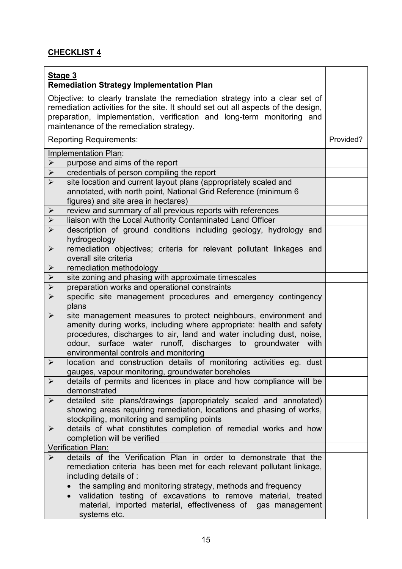| Stage 3<br><b>Remediation Strategy Implementation Plan</b>                                                                                                                                                                                                                                                                                       |           |
|--------------------------------------------------------------------------------------------------------------------------------------------------------------------------------------------------------------------------------------------------------------------------------------------------------------------------------------------------|-----------|
| Objective: to clearly translate the remediation strategy into a clear set of<br>remediation activities for the site. It should set out all aspects of the design,<br>preparation, implementation, verification and long-term monitoring and<br>maintenance of the remediation strategy.                                                          |           |
| <b>Reporting Requirements:</b>                                                                                                                                                                                                                                                                                                                   | Provided? |
| Implementation Plan:                                                                                                                                                                                                                                                                                                                             |           |
| purpose and aims of the report<br>➤                                                                                                                                                                                                                                                                                                              |           |
| credentials of person compiling the report<br>$\blacktriangleright$                                                                                                                                                                                                                                                                              |           |
| $\blacktriangleright$<br>site location and current layout plans (appropriately scaled and<br>annotated, with north point, National Grid Reference (minimum 6<br>figures) and site area in hectares)                                                                                                                                              |           |
| review and summary of all previous reports with references<br>$\blacktriangleright$                                                                                                                                                                                                                                                              |           |
| $\blacktriangleright$<br>liaison with the Local Authority Contaminated Land Officer                                                                                                                                                                                                                                                              |           |
| $\blacktriangleright$<br>description of ground conditions including geology, hydrology and<br>hydrogeology                                                                                                                                                                                                                                       |           |
| remediation objectives; criteria for relevant pollutant linkages and<br>$\blacktriangleright$<br>overall site criteria                                                                                                                                                                                                                           |           |
| $\blacktriangleright$<br>remediation methodology                                                                                                                                                                                                                                                                                                 |           |
| $\blacktriangleright$<br>site zoning and phasing with approximate timescales                                                                                                                                                                                                                                                                     |           |
| $\blacktriangleright$<br>preparation works and operational constraints                                                                                                                                                                                                                                                                           |           |
| $\blacktriangleright$<br>specific site management procedures and emergency contingency<br>plans                                                                                                                                                                                                                                                  |           |
| site management measures to protect neighbours, environment and<br>$\blacktriangleright$<br>amenity during works, including where appropriate: health and safety<br>procedures, discharges to air, land and water including dust, noise,<br>odour, surface water runoff, discharges to groundwater with<br>environmental controls and monitoring |           |
| location and construction details of monitoring activities eg. dust<br>$\blacktriangleright$<br>gauges, vapour monitoring, groundwater boreholes                                                                                                                                                                                                 |           |
| details of permits and licences in place and how compliance will be<br>$\blacktriangleright$<br>demonstrated                                                                                                                                                                                                                                     |           |
| detailed site plans/drawings (appropriately scaled and annotated)<br>$\blacktriangleright$<br>showing areas requiring remediation, locations and phasing of works,<br>stockpiling, monitoring and sampling points                                                                                                                                |           |
| details of what constitutes completion of remedial works and how<br>$\blacktriangleright$<br>completion will be verified                                                                                                                                                                                                                         |           |
| Verification Plan:                                                                                                                                                                                                                                                                                                                               |           |
| details of the Verification Plan in order to demonstrate that the<br>➤<br>remediation criteria has been met for each relevant pollutant linkage,<br>including details of :<br>the sampling and monitoring strategy, methods and frequency<br>validation testing of excavations to remove material, treated                                       |           |
| material, imported material, effectiveness of gas management<br>systems etc.                                                                                                                                                                                                                                                                     |           |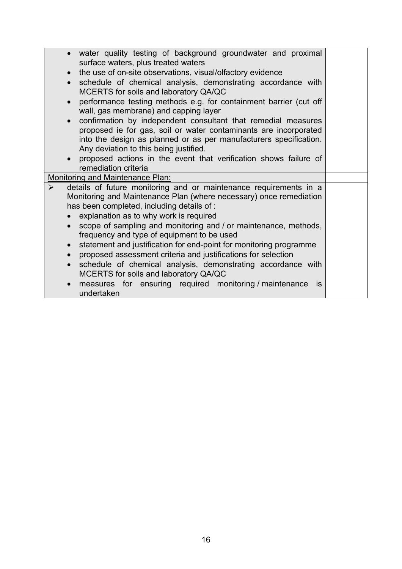| • water quality testing of background groundwater and proximal     |
|--------------------------------------------------------------------|
|                                                                    |
|                                                                    |
| schedule of chemical analysis, demonstrating accordance with       |
| performance testing methods e.g. for containment barrier (cut off  |
|                                                                    |
| confirmation by independent consultant that remedial measures      |
| proposed ie for gas, soil or water contaminants are incorporated   |
|                                                                    |
| into the design as planned or as per manufacturers specification.  |
|                                                                    |
| proposed actions in the event that verification shows failure of   |
|                                                                    |
|                                                                    |
| details of future monitoring and or maintenance requirements in a  |
| Monitoring and Maintenance Plan (where necessary) once remediation |
|                                                                    |
|                                                                    |
| scope of sampling and monitoring and / or maintenance, methods,    |
|                                                                    |
|                                                                    |
| statement and justification for end-point for monitoring programme |
|                                                                    |
| schedule of chemical analysis, demonstrating accordance with       |
|                                                                    |
| is.                                                                |
|                                                                    |
| measures for ensuring required monitoring / maintenance            |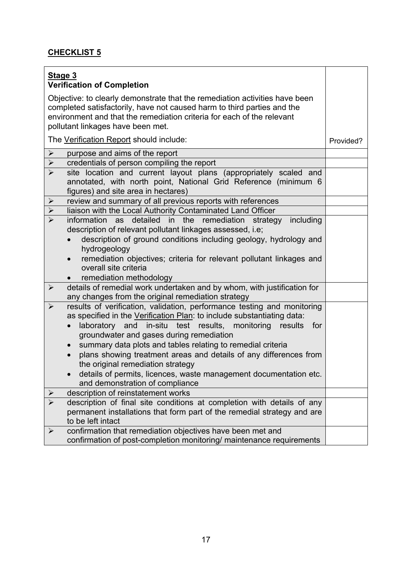| Stage 3               |                                                                                                                                                                                                                                                                       |           |
|-----------------------|-----------------------------------------------------------------------------------------------------------------------------------------------------------------------------------------------------------------------------------------------------------------------|-----------|
|                       | <b>Verification of Completion</b>                                                                                                                                                                                                                                     |           |
|                       | Objective: to clearly demonstrate that the remediation activities have been<br>completed satisfactorily, have not caused harm to third parties and the<br>environment and that the remediation criteria for each of the relevant<br>pollutant linkages have been met. |           |
|                       | The Verification Report should include:                                                                                                                                                                                                                               | Provided? |
| $\blacktriangleright$ | purpose and aims of the report                                                                                                                                                                                                                                        |           |
| $\blacktriangleright$ | credentials of person compiling the report                                                                                                                                                                                                                            |           |
| $\blacktriangleright$ | site location and current layout plans (appropriately scaled and<br>annotated, with north point, National Grid Reference (minimum 6<br>figures) and site area in hectares)                                                                                            |           |
| ➤                     | review and summary of all previous reports with references                                                                                                                                                                                                            |           |
| $\blacktriangleright$ | liaison with the Local Authority Contaminated Land Officer                                                                                                                                                                                                            |           |
| $\blacktriangleright$ | as detailed in the<br>remediation strategy including<br>information                                                                                                                                                                                                   |           |
|                       | description of relevant pollutant linkages assessed, i.e;                                                                                                                                                                                                             |           |
|                       | description of ground conditions including geology, hydrology and                                                                                                                                                                                                     |           |
|                       | hydrogeology                                                                                                                                                                                                                                                          |           |
|                       | remediation objectives; criteria for relevant pollutant linkages and<br>$\bullet$<br>overall site criteria                                                                                                                                                            |           |
|                       | remediation methodology                                                                                                                                                                                                                                               |           |
| $\blacktriangleright$ | details of remedial work undertaken and by whom, with justification for                                                                                                                                                                                               |           |
|                       | any changes from the original remediation strategy                                                                                                                                                                                                                    |           |
| $\blacktriangleright$ | results of verification, validation, performance testing and monitoring                                                                                                                                                                                               |           |
|                       | as specified in the Verification Plan: to include substantiating data:                                                                                                                                                                                                |           |
|                       | in-situ test results, monitoring results<br>laboratory<br>and<br>for                                                                                                                                                                                                  |           |
|                       | groundwater and gases during remediation                                                                                                                                                                                                                              |           |
|                       | summary data plots and tables relating to remedial criteria                                                                                                                                                                                                           |           |
|                       | plans showing treatment areas and details of any differences from                                                                                                                                                                                                     |           |
|                       | the original remediation strategy                                                                                                                                                                                                                                     |           |
|                       | details of permits, licences, waste management documentation etc.                                                                                                                                                                                                     |           |
|                       | and demonstration of compliance                                                                                                                                                                                                                                       |           |
| ➤                     | description of reinstatement works                                                                                                                                                                                                                                    |           |
| $\blacktriangleright$ | description of final site conditions at completion with details of any                                                                                                                                                                                                |           |
|                       | permanent installations that form part of the remedial strategy and are                                                                                                                                                                                               |           |
|                       | to be left intact                                                                                                                                                                                                                                                     |           |
| $\blacktriangleright$ | confirmation that remediation objectives have been met and                                                                                                                                                                                                            |           |
|                       | confirmation of post-completion monitoring/ maintenance requirements                                                                                                                                                                                                  |           |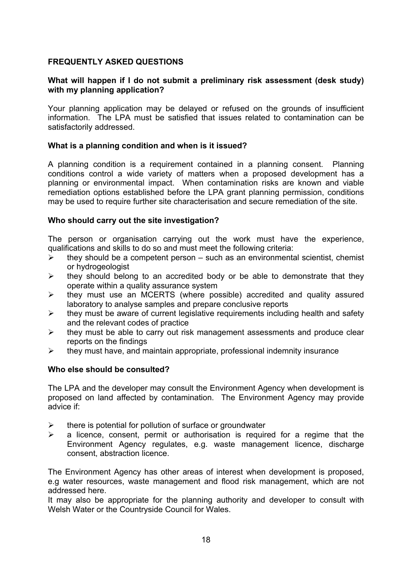#### **FREQUENTLY ASKED QUESTIONS**

#### **What will happen if I do not submit a preliminary risk assessment (desk study) with my planning application?**

Your planning application may be delayed or refused on the grounds of insufficient information. The LPA must be satisfied that issues related to contamination can be satisfactorily addressed.

#### **What is a planning condition and when is it issued?**

A planning condition is a requirement contained in a planning consent. Planning conditions control a wide variety of matters when a proposed development has a planning or environmental impact. When contamination risks are known and viable remediation options established before the LPA grant planning permission, conditions may be used to require further site characterisation and secure remediation of the site.

#### **Who should carry out the site investigation?**

The person or organisation carrying out the work must have the experience, qualifications and skills to do so and must meet the following criteria:

- $\triangleright$  they should be a competent person such as an environmental scientist, chemist or hydrogeologist
- $\triangleright$  they should belong to an accredited body or be able to demonstrate that they operate within a quality assurance system
- $\triangleright$  they must use an MCERTS (where possible) accredited and quality assured laboratory to analyse samples and prepare conclusive reports
- $\triangleright$  they must be aware of current legislative requirements including health and safety and the relevant codes of practice
- $\triangleright$  they must be able to carry out risk management assessments and produce clear reports on the findings
- $\triangleright$  they must have, and maintain appropriate, professional indemnity insurance

#### **Who else should be consulted?**

The LPA and the developer may consult the Environment Agency when development is proposed on land affected by contamination. The Environment Agency may provide advice if:

- $\triangleright$  there is potential for pollution of surface or groundwater
- $\triangleright$  a licence, consent, permit or authorisation is required for a regime that the Environment Agency regulates, e.g. waste management licence, discharge consent, abstraction licence.

The Environment Agency has other areas of interest when development is proposed, e.g water resources, waste management and flood risk management, which are not addressed here.

It may also be appropriate for the planning authority and developer to consult with Welsh Water or the Countryside Council for Wales.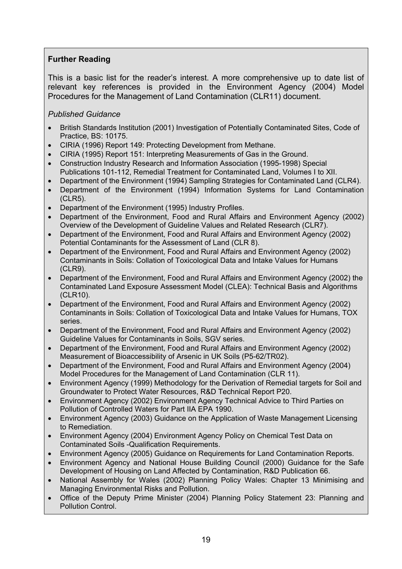#### **Further Reading**

This is a basic list for the reader's interest. A more comprehensive up to date list of relevant key references is provided in the Environment Agency (2004) Model Procedures for the Management of Land Contamination (CLR11) document.

#### *Published Guidance*

- British Standards Institution (2001) Investigation of Potentially Contaminated Sites, Code of Practice, BS: 10175.
- CIRIA (1996) Report 149: Protecting Development from Methane.
- CIRIA (1995) Report 151: Interpreting Measurements of Gas in the Ground.
- Construction Industry Research and Information Association (1995-1998) Special Publications 101-112, Remedial Treatment for Contaminated Land, Volumes I to XII.
- Department of the Environment (1994) Sampling Strategies for Contaminated Land (CLR4).
- Department of the Environment (1994) Information Systems for Land Contamination (CLR5).
- Department of the Environment (1995) Industry Profiles.
- Department of the Environment, Food and Rural Affairs and Environment Agency (2002) Overview of the Development of Guideline Values and Related Research (CLR7).
- Department of the Environment, Food and Rural Affairs and Environment Agency (2002) Potential Contaminants for the Assessment of Land (CLR 8).
- Department of the Environment, Food and Rural Affairs and Environment Agency (2002) Contaminants in Soils: Collation of Toxicological Data and Intake Values for Humans (CLR9).
- Department of the Environment, Food and Rural Affairs and Environment Agency (2002) the Contaminated Land Exposure Assessment Model (CLEA): Technical Basis and Algorithms (CLR10).
- Department of the Environment, Food and Rural Affairs and Environment Agency (2002) Contaminants in Soils: Collation of Toxicological Data and Intake Values for Humans, TOX series.
- Department of the Environment, Food and Rural Affairs and Environment Agency (2002) Guideline Values for Contaminants in Soils, SGV series.
- Department of the Environment, Food and Rural Affairs and Environment Agency (2002) Measurement of Bioaccessibility of Arsenic in UK Soils (P5-62/TR02).
- Department of the Environment, Food and Rural Affairs and Environment Agency (2004) Model Procedures for the Management of Land Contamination (CLR 11).
- Environment Agency (1999) Methodology for the Derivation of Remedial targets for Soil and Groundwater to Protect Water Resources, R&D Technical Report P20.
- Environment Agency (2002) Environment Agency Technical Advice to Third Parties on Pollution of Controlled Waters for Part IIA EPA 1990.
- Environment Agency (2003) Guidance on the Application of Waste Management Licensing to Remediation.
- Environment Agency (2004) Environment Agency Policy on Chemical Test Data on Contaminated Soils -Qualification Requirements.
- Environment Agency (2005) Guidance on Requirements for Land Contamination Reports.
- Environment Agency and National House Building Council (2000) Guidance for the Safe Development of Housing on Land Affected by Contamination, R&D Publication 66.
- National Assembly for Wales (2002) Planning Policy Wales: Chapter 13 Minimising and Managing Environmental Risks and Pollution.
- Office of the Deputy Prime Minister (2004) Planning Policy Statement 23: Planning and Pollution Control.